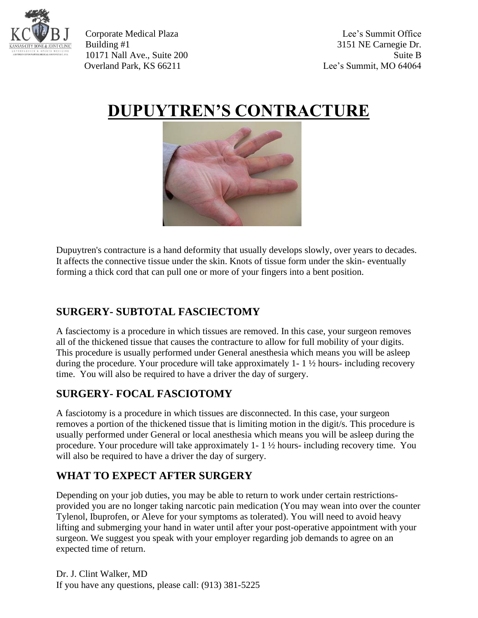

Corporate Medical Plaza Lee's Summit Office Building #1 3151 NE Carnegie Dr. 10171 Nall Ave., Suite 200 Suite B Overland Park, KS 66211 Lee's Summit, MO 64064

# **DUPUYTREN'S CONTRACTURE**



Dupuytren's contracture is a hand deformity that usually develops slowly, over years to decades. It affects the connective tissue under the skin. Knots of tissue form under the skin- eventually forming a thick cord that can pull one or more of your fingers into a bent position.

## **SURGERY- SUBTOTAL FASCIECTOMY**

A fasciectomy is a procedure in which tissues are removed. In this case, your surgeon removes all of the thickened tissue that causes the contracture to allow for full mobility of your digits. This procedure is usually performed under General anesthesia which means you will be asleep during the procedure. Your procedure will take approximately 1- 1 ½ hours- including recovery time. You will also be required to have a driver the day of surgery.

## **SURGERY- FOCAL FASCIOTOMY**

A fasciotomy is a procedure in which tissues are disconnected. In this case, your surgeon removes a portion of the thickened tissue that is limiting motion in the digit/s. This procedure is usually performed under General or local anesthesia which means you will be asleep during the procedure. Your procedure will take approximately 1- 1 ½ hours- including recovery time. You will also be required to have a driver the day of surgery.

## **WHAT TO EXPECT AFTER SURGERY**

Depending on your job duties, you may be able to return to work under certain restrictionsprovided you are no longer taking narcotic pain medication (You may wean into over the counter Tylenol, Ibuprofen, or Aleve for your symptoms as tolerated). You will need to avoid heavy lifting and submerging your hand in water until after your post-operative appointment with your surgeon. We suggest you speak with your employer regarding job demands to agree on an expected time of return.

Dr. J. Clint Walker, MD If you have any questions, please call: (913) 381-5225